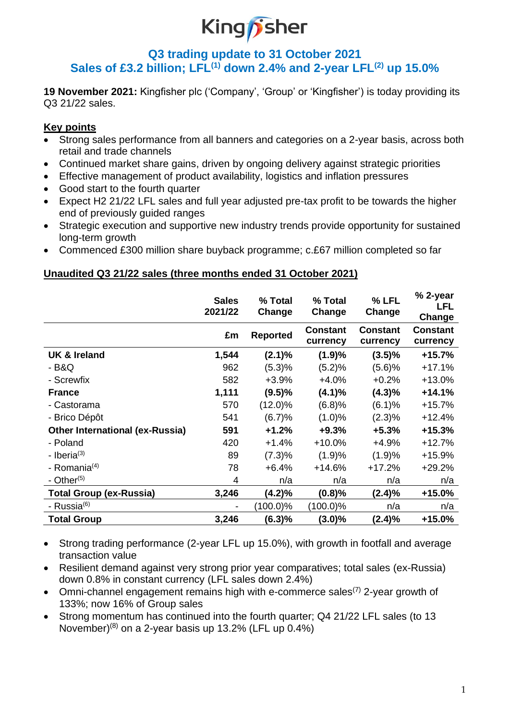# King*p*sher

## **Q3 trading update to 31 October 2021 Sales of £3.2 billion; LFL(1) down 2.4% and 2-year LFL(2) up 15.0%**

**19 November 2021:** Kingfisher plc ('Company', 'Group' or 'Kingfisher') is today providing its Q3 21/22 sales.

## **Key points**

- Strong sales performance from all banners and categories on a 2-year basis, across both retail and trade channels
- Continued market share gains, driven by ongoing delivery against strategic priorities
- Effective management of product availability, logistics and inflation pressures
- Good start to the fourth quarter
- Expect H2 21/22 LFL sales and full year adjusted pre-tax profit to be towards the higher end of previously guided ranges
- Strategic execution and supportive new industry trends provide opportunity for sustained long-term growth
- Commenced £300 million share buyback programme; c.£67 million completed so far

## **Unaudited Q3 21/22 sales (three months ended 31 October 2021)**

|                                        | <b>Sales</b><br>2021/22  | % Total<br>Change | % Total<br>Change           | % LFL<br>Change             | % 2-year<br>LFL<br>Change   |
|----------------------------------------|--------------------------|-------------------|-----------------------------|-----------------------------|-----------------------------|
|                                        | £m                       | <b>Reported</b>   | <b>Constant</b><br>currency | <b>Constant</b><br>currency | <b>Constant</b><br>currency |
| <b>UK &amp; Ireland</b>                | 1,544                    | $(2.1)\%$         | (1.9)%                      | $(3.5)\%$                   | $+15.7%$                    |
| - B&Q                                  | 962                      | (5.3)%            | (5.2)%                      | (5.6)%                      | $+17.1%$                    |
| - Screwfix                             | 582                      | +3.9%             | $+4.0%$                     | $+0.2%$                     | $+13.0%$                    |
| <b>France</b>                          | 1,111                    | (9.5)%            | (4.1)%                      | $(4.3)\%$                   | $+14.1%$                    |
| - Castorama                            | 570                      | $(12.0)\%$        | (6.8)%                      | (6.1)%                      | $+15.7%$                    |
| - Brico Dépôt                          | 541                      | (6.7)%            | (1.0)%                      | $(2.3)\%$                   | $+12.4%$                    |
| <b>Other International (ex-Russia)</b> | 591                      | $+1.2%$           | $+9.3%$                     | $+5.3%$                     | $+15.3%$                    |
| - Poland                               | 420                      | $+1.4%$           | $+10.0%$                    | $+4.9%$                     | $+12.7%$                    |
| - Iberia $(3)$                         | 89                       | (7.3)%            | (1.9)%                      | (1.9)%                      | $+15.9%$                    |
| - Romania $(4)$                        | 78                       | $+6.4%$           | $+14.6%$                    | $+17.2%$                    | $+29.2%$                    |
| - Other $(5)$                          | 4                        | n/a               | n/a                         | n/a                         | n/a                         |
| <b>Total Group (ex-Russia)</b>         | 3,246                    | $(4.2)\%$         | $(0.8)\%$                   | (2.4)%                      | +15.0%                      |
| - Russia <sup>(6)</sup>                | $\overline{\phantom{a}}$ | (100.0)%          | (100.0)%                    | n/a                         | n/a                         |
| <b>Total Group</b>                     | 3,246                    | (6.3)%            | $(3.0)\%$                   | (2.4)%                      | +15.0%                      |

• Strong trading performance (2-year LFL up 15.0%), with growth in footfall and average transaction value

- Resilient demand against very strong prior year comparatives; total sales (ex-Russia) down 0.8% in constant currency (LFL sales down 2.4%)
- Omni-channel engagement remains high with e-commerce sales<sup>(7)</sup> 2-year growth of 133%; now 16% of Group sales
- Strong momentum has continued into the fourth quarter; Q4 21/22 LFL sales (to 13 November) $(8)$  on a 2-year basis up 13.2% (LFL up 0.4%)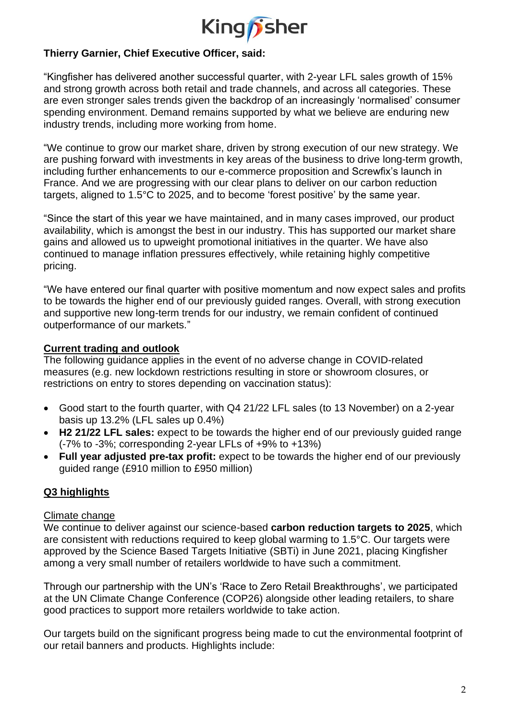

## **Thierry Garnier, Chief Executive Officer, said:**

"Kingfisher has delivered another successful quarter, with 2-year LFL sales growth of 15% and strong growth across both retail and trade channels, and across all categories. These are even stronger sales trends given the backdrop of an increasingly 'normalised' consumer spending environment. Demand remains supported by what we believe are enduring new industry trends, including more working from home.

"We continue to grow our market share, driven by strong execution of our new strategy. We are pushing forward with investments in key areas of the business to drive long-term growth, including further enhancements to our e-commerce proposition and Screwfix's launch in France. And we are progressing with our clear plans to deliver on our carbon reduction targets, aligned to 1.5°C to 2025, and to become 'forest positive' by the same year.

"Since the start of this year we have maintained, and in many cases improved, our product availability, which is amongst the best in our industry. This has supported our market share gains and allowed us to upweight promotional initiatives in the quarter. We have also continued to manage inflation pressures effectively, while retaining highly competitive pricing.

"We have entered our final quarter with positive momentum and now expect sales and profits to be towards the higher end of our previously guided ranges. Overall, with strong execution and supportive new long-term trends for our industry, we remain confident of continued outperformance of our markets."

### **Current trading and outlook**

The following guidance applies in the event of no adverse change in COVID-related measures (e.g. new lockdown restrictions resulting in store or showroom closures, or restrictions on entry to stores depending on vaccination status):

- Good start to the fourth quarter, with Q4 21/22 LFL sales (to 13 November) on a 2-year basis up 13.2% (LFL sales up 0.4%)
- **H2 21/22 LFL sales:** expect to be towards the higher end of our previously guided range (-7% to -3%; corresponding 2-year LFLs of +9% to +13%)
- **Full year adjusted pre-tax profit:** expect to be towards the higher end of our previously guided range (£910 million to £950 million)

## **Q3 highlights**

### Climate change

We continue to deliver against our science-based **carbon reduction targets to 2025**, which are consistent with reductions required to keep global warming to 1.5°C. Our targets were approved by the Science Based Targets Initiative (SBTi) in June 2021, placing Kingfisher among a very small number of retailers worldwide to have such a commitment.

Through our partnership with the UN's 'Race to Zero Retail Breakthroughs', we participated at the UN Climate Change Conference (COP26) alongside other leading retailers, to share good practices to support more retailers worldwide to take action.

Our targets build on the significant progress being made to cut the environmental footprint of our retail banners and products. Highlights include: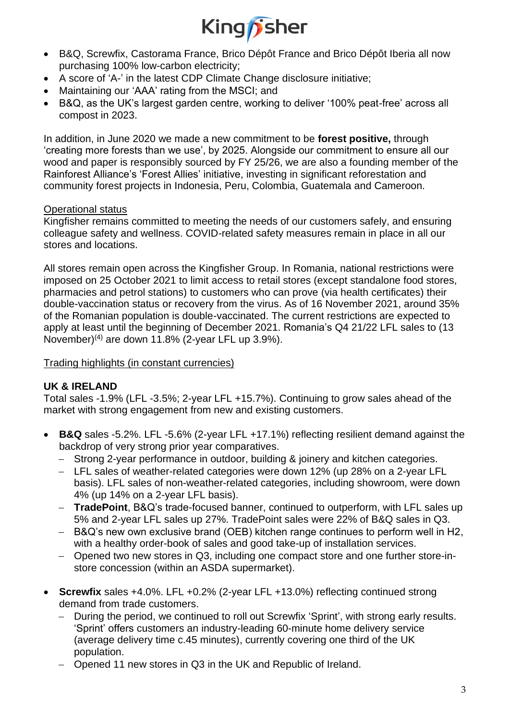

- B&Q, Screwfix, Castorama France, Brico Dépôt France and Brico Dépôt Iberia all now purchasing 100% low-carbon electricity;
- A score of 'A-' in the latest CDP Climate Change disclosure initiative;
- Maintaining our 'AAA' rating from the MSCI; and
- B&Q, as the UK's largest garden centre, working to deliver '100% peat-free' across all compost in 2023.

In addition, in June 2020 we made a new commitment to be **forest positive,** through 'creating more forests than we use', by 2025. Alongside our commitment to ensure all our wood and paper is responsibly sourced by FY 25/26, we are also a founding member of the Rainforest Alliance's 'Forest Allies' initiative, investing in significant reforestation and community forest projects in Indonesia, Peru, Colombia, Guatemala and Cameroon.

## Operational status

Kingfisher remains committed to meeting the needs of our customers safely, and ensuring colleague safety and wellness. COVID-related safety measures remain in place in all our stores and locations.

All stores remain open across the Kingfisher Group. In Romania, national restrictions were imposed on 25 October 2021 to limit access to retail stores (except standalone food stores, pharmacies and petrol stations) to customers who can prove (via health certificates) their double-vaccination status or recovery from the virus. As of 16 November 2021, around 35% of the Romanian population is double-vaccinated. The current restrictions are expected to apply at least until the beginning of December 2021. Romania's Q4 21/22 LFL sales to (13 November)<sup>(4)</sup> are down 11.8% (2-year LFL up 3.9%).

Trading highlights (in constant currencies)

## **UK & IRELAND**

Total sales -1.9% (LFL -3.5%; 2-year LFL +15.7%). Continuing to grow sales ahead of the market with strong engagement from new and existing customers.

- **B&Q** sales -5.2%. LFL -5.6% (2-year LFL +17.1%) reflecting resilient demand against the backdrop of very strong prior year comparatives.
	- − Strong 2-year performance in outdoor, building & joinery and kitchen categories.
	- − LFL sales of weather-related categories were down 12% (up 28% on a 2-year LFL basis). LFL sales of non-weather-related categories, including showroom, were down 4% (up 14% on a 2-year LFL basis).
	- − **TradePoint**, B&Q's trade-focused banner, continued to outperform, with LFL sales up 5% and 2-year LFL sales up 27%. TradePoint sales were 22% of B&Q sales in Q3.
	- − B&Q's new own exclusive brand (OEB) kitchen range continues to perform well in H2, with a healthy order-book of sales and good take-up of installation services.
	- − Opened two new stores in Q3, including one compact store and one further store-instore concession (within an ASDA supermarket).
- **Screwfix** sales +4.0%. LFL +0.2% (2-year LFL +13.0%) reflecting continued strong demand from trade customers.
	- − During the period, we continued to roll out Screwfix 'Sprint', with strong early results. 'Sprint' offers customers an industry-leading 60-minute home delivery service (average delivery time c.45 minutes), currently covering one third of the UK population.
	- − Opened 11 new stores in Q3 in the UK and Republic of Ireland.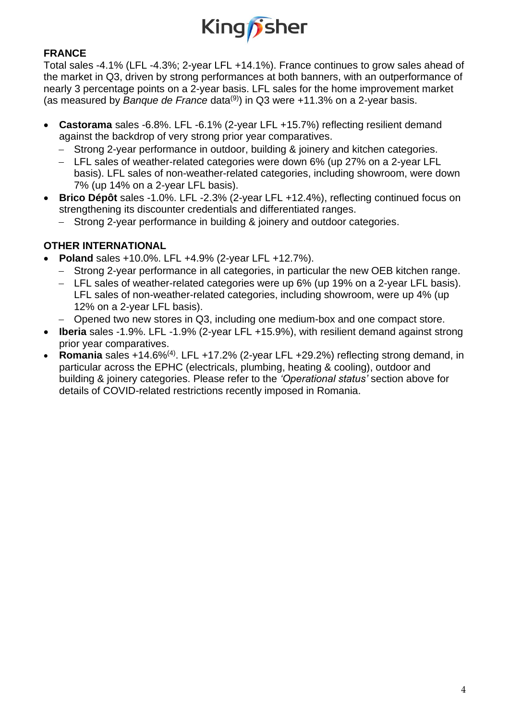

## **FRANCE**

Total sales -4.1% (LFL -4.3%; 2-year LFL +14.1%). France continues to grow sales ahead of the market in Q3, driven by strong performances at both banners, with an outperformance of nearly 3 percentage points on a 2-year basis. LFL sales for the home improvement market (as measured by *Banque de France* data<sup>(9)</sup>) in Q3 were +11.3% on a 2-year basis.

- **Castorama** sales -6.8%. LFL -6.1% (2-year LFL +15.7%) reflecting resilient demand against the backdrop of very strong prior year comparatives.
	- − Strong 2-year performance in outdoor, building & joinery and kitchen categories.
	- − LFL sales of weather-related categories were down 6% (up 27% on a 2-year LFL basis). LFL sales of non-weather-related categories, including showroom, were down 7% (up 14% on a 2-year LFL basis).
- **Brico Dépôt** sales -1.0%. LFL -2.3% (2-year LFL +12.4%), reflecting continued focus on strengthening its discounter credentials and differentiated ranges.
	- − Strong 2-year performance in building & joinery and outdoor categories.

## **OTHER INTERNATIONAL**

- **Poland** sales +10.0%. LFL +4.9% (2-year LFL +12.7%).
	- − Strong 2-year performance in all categories, in particular the new OEB kitchen range.
	- − LFL sales of weather-related categories were up 6% (up 19% on a 2-year LFL basis). LFL sales of non-weather-related categories, including showroom, were up 4% (up 12% on a 2-year LFL basis).
	- − Opened two new stores in Q3, including one medium-box and one compact store.
- **Iberia** sales -1.9%. LFL -1.9% (2-year LFL +15.9%), with resilient demand against strong prior year comparatives.
- **Romania** sales +14.6%(4). LFL +17.2% (2-year LFL +29.2%) reflecting strong demand, in particular across the EPHC (electricals, plumbing, heating & cooling), outdoor and building & joinery categories. Please refer to the *'Operational status'* section above for details of COVID-related restrictions recently imposed in Romania.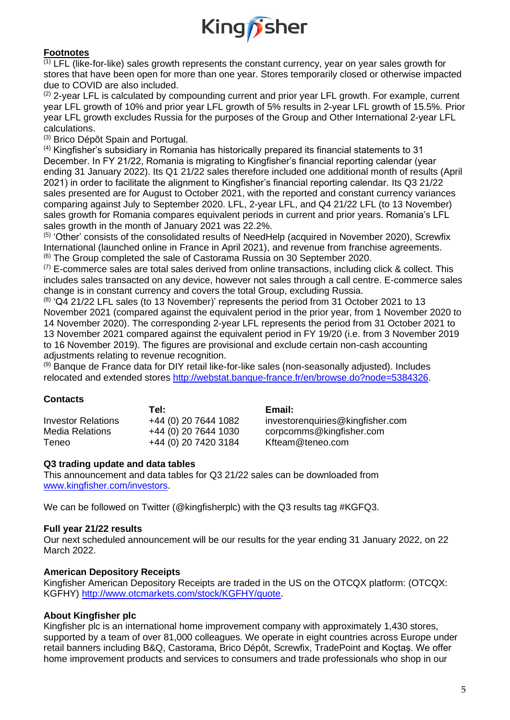

#### **Footnotes**

 $\overline{^{(1)}}$  LFL (like-for-like) sales growth represents the constant currency, year on year sales growth for stores that have been open for more than one year. Stores temporarily closed or otherwise impacted due to COVID are also included.

 $(2)$  2-year LFL is calculated by compounding current and prior year LFL growth. For example, current year LFL growth of 10% and prior year LFL growth of 5% results in 2-year LFL growth of 15.5%. Prior year LFL growth excludes Russia for the purposes of the Group and Other International 2-year LFL calculations.

(3) Brico Dépôt Spain and Portugal.

 $<sup>(4)</sup>$  Kingfisher's subsidiary in Romania has historically prepared its financial statements to 31</sup> December. In FY 21/22, Romania is migrating to Kingfisher's financial reporting calendar (year ending 31 January 2022). Its Q1 21/22 sales therefore included one additional month of results (April 2021) in order to facilitate the alignment to Kingfisher's financial reporting calendar. Its Q3 21/22 sales presented are for August to October 2021, with the reported and constant currency variances comparing against July to September 2020. LFL, 2-year LFL, and Q4 21/22 LFL (to 13 November) sales growth for Romania compares equivalent periods in current and prior years. Romania's LFL sales growth in the month of January 2021 was 22.2%.

(5) 'Other' consists of the consolidated results of NeedHelp (acquired in November 2020), Screwfix International (launched online in France in April 2021), and revenue from franchise agreements.  $(6)$  The Group completed the sale of Castorama Russia on 30 September 2020.

 $(7)$  E-commerce sales are total sales derived from online transactions, including click & collect. This includes sales transacted on any device, however not sales through a call centre. E-commerce sales change is in constant currency and covers the total Group, excluding Russia.

 $^{(8)}$  'Q4 21/22 LFL sales (to 13 November)' represents the period from 31 October 2021 to 13 November 2021 (compared against the equivalent period in the prior year, from 1 November 2020 to 14 November 2020). The corresponding 2-year LFL represents the period from 31 October 2021 to 13 November 2021 compared against the equivalent period in FY 19/20 (i.e. from 3 November 2019 to 16 November 2019). The figures are provisional and exclude certain non-cash accounting adjustments relating to revenue recognition.

 $<sup>(9)</sup>$  Banque de France data for DIY retail like-for-like sales (non-seasonally adjusted). Includes</sup> relocated and extended stores [http://webstat.banque-france.fr/en/browse.do?node=5384326.](http://webstat.banque-france.fr/en/browse.do?node=5384326)

#### **Contacts**

|                        | Tel:                 | Email:                           |
|------------------------|----------------------|----------------------------------|
| Investor Relations     | +44 (0) 20 7644 1082 | investorenquiries@kingfisher.com |
| <b>Media Relations</b> | +44 (0) 20 7644 1030 | corpcomms@kingfisher.com         |
| Teneo                  | +44 (0) 20 7420 3184 | Kfteam@teneo.com                 |

#### **Q3 trading update and data tables**

This announcement and data tables for Q3 21/22 sales can be downloaded from [www.kingfisher.com/investors.](http://www.kingfisher.com/investors)

We can be followed on Twitter (@kingfisherplc) with the Q3 results tag #KGFQ3.

#### **Full year 21/22 results**

Our next scheduled announcement will be our results for the year ending 31 January 2022, on 22 March 2022.

#### **American Depository Receipts**

Kingfisher American Depository Receipts are traded in the US on the OTCQX platform: (OTCQX: KGFHY) [http://www.otcmarkets.com/stock/KGFHY/quote.](http://www.otcmarkets.com/stock/KGFHY/quote)

#### **About Kingfisher plc**

Kingfisher plc is an international home improvement company with approximately 1,430 stores, supported by a team of over 81,000 colleagues. We operate in eight countries across Europe under retail banners including B&Q, Castorama, Brico Dépôt, Screwfix, TradePoint and Koçtaş. We offer home improvement products and services to consumers and trade professionals who shop in our